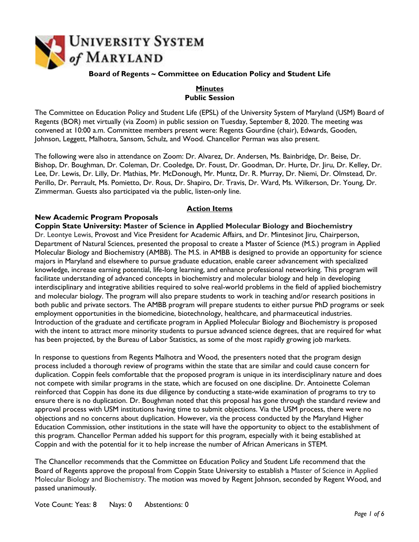

# **Board of Regents ~ Committee on Education Policy and Student Life**

### **Minutes Public Session**

The Committee on Education Policy and Student Life (EPSL) of the University System of Maryland (USM) Board of Regents (BOR) met virtually (via Zoom) in public session on Tuesday, September 8, 2020. The meeting was convened at 10:00 a.m. Committee members present were: Regents Gourdine (chair), Edwards, Gooden, Johnson, Leggett, Malhotra, Sansom, Schulz, and Wood. Chancellor Perman was also present.

The following were also in attendance on Zoom: Dr. Alvarez, Dr. Andersen, Ms. Bainbridge, Dr. Beise, Dr. Bishop, Dr. Boughman, Dr. Coleman, Dr. Cooledge, Dr. Foust, Dr. Goodman, Dr. Hurte, Dr. Jiru, Dr. Kelley, Dr. Lee, Dr. Lewis, Dr. Lilly, Dr. Mathias, Mr. McDonough, Mr. Muntz, Dr. R. Murray, Dr. Niemi, Dr. Olmstead, Dr. Perillo, Dr. Perrault, Ms. Pomietto, Dr. Rous, Dr. Shapiro, Dr. Travis, Dr. Ward, Ms. Wilkerson, Dr. Young, Dr. Zimmerman. Guests also participated via the public, listen-only line.

# **Action Items**

# **New Academic Program Proposals**

**Coppin State University: Master of Science in Applied Molecular Biology and Biochemistry** Dr. Leontye Lewis, Provost and Vice President for Academic Affairs, and Dr. Mintesinot Jiru, Chairperson, Department of Natural Sciences, presented the proposal to create a Master of Science (M.S.) program in Applied Molecular Biology and Biochemistry (AMBB). The M.S. in AMBB is designed to provide an opportunity for science majors in Maryland and elsewhere to pursue graduate education, enable career advancement with specialized knowledge, increase earning potential, life-long learning, and enhance professional networking. This program will facilitate understanding of advanced concepts in biochemistry and molecular biology and help in developing interdisciplinary and integrative abilities required to solve real-world problems in the field of applied biochemistry and molecular biology. The program will also prepare students to work in teaching and/or research positions in both public and private sectors. The AMBB program will prepare students to either pursue PhD programs or seek employment opportunities in the biomedicine, biotechnology, healthcare, and pharmaceutical industries. Introduction of the graduate and certificate program in Applied Molecular Biology and Biochemistry is proposed with the intent to attract more minority students to pursue advanced science degrees, that are required for what has been projected, by the Bureau of Labor Statistics, as some of the most rapidly growing job markets.

In response to questions from Regents Malhotra and Wood, the presenters noted that the program design process included a thorough review of programs within the state that are similar and could cause concern for duplication. Coppin feels comfortable that the proposed program is unique in its interdisciplinary nature and does not compete with similar programs in the state, which are focused on one discipline. Dr. Antoinette Coleman reinforced that Coppin has done its due diligence by conducting a state-wide examination of programs to try to ensure there is no duplication. Dr. Boughman noted that this proposal has gone through the standard review and approval process with USM institutions having time to submit objections. Via the USM process, there were no objections and no concerns about duplication. However, via the process conducted by the Maryland Higher Education Commission, other institutions in the state will have the opportunity to object to the establishment of this program. Chancellor Perman added his support for this program, especially with it being established at Coppin and with the potential for it to help increase the number of African Americans in STEM.

The Chancellor recommends that the Committee on Education Policy and Student Life recommend that the Board of Regents approve the proposal from Coppin State University to establish a Master of Science in Applied Molecular Biology and Biochemistry. The motion was moved by Regent Johnson, seconded by Regent Wood, and passed unanimously.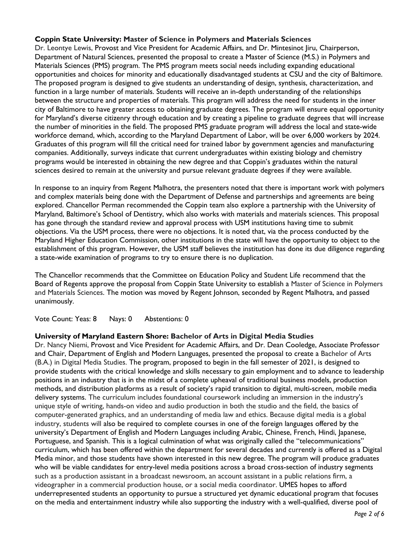# **Coppin State University: Master of Science in Polymers and Materials Sciences**

Dr. Leontye Lewis, Provost and Vice President for Academic Affairs, and Dr. Mintesinot Jiru, Chairperson, Department of Natural Sciences, presented the proposal to create a Master of Science (M.S.) in Polymers and Materials Sciences (PMS) program. The PMS program meets social needs including expanding educational opportunities and choices for minority and educationally disadvantaged students at CSU and the city of Baltimore. The proposed program is designed to give students an understanding of design, synthesis, characterization, and function in a large number of materials. Students will receive an in-depth understanding of the relationships between the structure and properties of materials. This program will address the need for students in the inner city of Baltimore to have greater access to obtaining graduate degrees. The program will ensure equal opportunity for Maryland's diverse citizenry through education and by creating a pipeline to graduate degrees that will increase the number of minorities in the field. The proposed PMS graduate program will address the local and state-wide workforce demand, which, according to the Maryland Department of Labor, will be over 6,000 workers by 2024. Graduates of this program will fill the critical need for trained labor by government agencies and manufacturing companies. Additionally, surveys indicate that current undergraduates within existing biology and chemistry programs would be interested in obtaining the new degree and that Coppin's graduates within the natural sciences desired to remain at the university and pursue relevant graduate degrees if they were available.

In response to an inquiry from Regent Malhotra, the presenters noted that there is important work with polymers and complex materials being done with the Department of Defense and partnerships and agreements are being explored. Chancellor Perman recommended the Coppin team also explore a partnership with the University of Maryland, Baltimore's School of Dentistry, which also works with materials and materials sciences. This proposal has gone through the standard review and approval process with USM institutions having time to submit objections. Via the USM process, there were no objections. It is noted that, via the process conducted by the Maryland Higher Education Commission, other institutions in the state will have the opportunity to object to the establishment of this program. However, the USM staff believes the institution has done its due diligence regarding a state-wide examination of programs to try to ensure there is no duplication.

The Chancellor recommends that the Committee on Education Policy and Student Life recommend that the Board of Regents approve the proposal from Coppin State University to establish a Master of Science in Polymers and Materials Sciences. The motion was moved by Regent Johnson, seconded by Regent Malhotra, and passed unanimously.

Vote Count: Yeas: 8 Nays: 0 Abstentions: 0

# **University of Maryland Eastern Shore: Bachelor of Arts in Digital Media Studies**

Dr. Nancy Niemi, Provost and Vice President for Academic Affairs, and Dr. Dean Cooledge, Associate Professor and Chair, Department of English and Modern Languages, presented the proposal to create a Bachelor of Arts (B.A.) in Digital Media Studies. The program, proposed to begin in the fall semester of 2021, is designed to provide students with the critical knowledge and skills necessary to gain employment and to advance to leadership positions in an industry that is in the midst of a complete upheaval of traditional business models, production methods, and distribution platforms as a result of society's rapid transition to digital, multi-screen, mobile media delivery systems. The curriculum includes foundational coursework including an immersion in the industry's unique style of writing, hands-on video and audio production in both the studio and the field, the basics of computer-generated graphics, and an understanding of media law and ethics. Because digital media is a global industry, students will also be required to complete courses in one of the foreign languages offered by the university's Department of English and Modern Languages including Arabic, Chinese, French, Hindi, Japanese, Portuguese, and Spanish. This is a logical culmination of what was originally called the "telecommunications" curriculum, which has been offered within the department for several decades and currently is offered as a Digital Media minor, and those students have shown interested in this new degree. The program will produce graduates who will be viable candidates for entry-level media positions across a broad cross-section of industry segments such as a production assistant in a broadcast newsroom, an account assistant in a public relations firm, a videographer in a commercial production house, or a social media coordinator. UMES hopes to afford underrepresented students an opportunity to pursue a structured yet dynamic educational program that focuses on the media and entertainment industry while also supporting the industry with a well-qualified, diverse pool of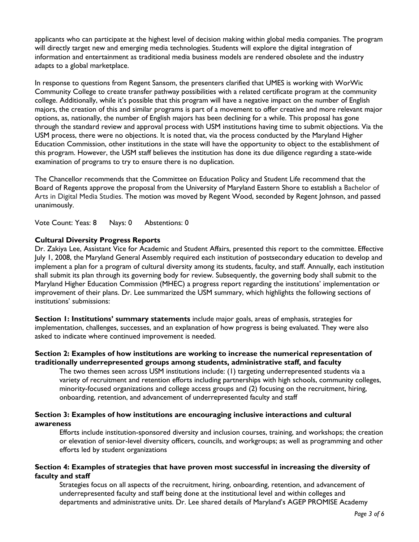applicants who can participate at the highest level of decision making within global media companies. The program will directly target new and emerging media technologies. Students will explore the digital integration of information and entertainment as traditional media business models are rendered obsolete and the industry adapts to a global marketplace.

In response to questions from Regent Sansom, the presenters clarified that UMES is working with WorWic Community College to create transfer pathway possibilities with a related certificate program at the community college. Additionally, while it's possible that this program will have a negative impact on the number of English majors, the creation of this and similar programs is part of a movement to offer creative and more relevant major options, as, nationally, the number of English majors has been declining for a while. This proposal has gone through the standard review and approval process with USM institutions having time to submit objections. Via the USM process, there were no objections. It is noted that, via the process conducted by the Maryland Higher Education Commission, other institutions in the state will have the opportunity to object to the establishment of this program. However, the USM staff believes the institution has done its due diligence regarding a state-wide examination of programs to try to ensure there is no duplication.

The Chancellor recommends that the Committee on Education Policy and Student Life recommend that the Board of Regents approve the proposal from the University of Maryland Eastern Shore to establish a Bachelor of Arts in Digital Media Studies. The motion was moved by Regent Wood, seconded by Regent Johnson, and passed unanimously.

Vote Count: Yeas: 8 Nays: 0 Abstentions: 0

#### **Cultural Diversity Progress Reports**

Dr. Zakiya Lee, Assistant Vice for Academic and Student Affairs, presented this report to the committee. Effective July 1, 2008, the Maryland General Assembly required each institution of postsecondary education to develop and implement a plan for a program of cultural diversity among its students, faculty, and staff. Annually, each institution shall submit its plan through its governing body for review. Subsequently, the governing body shall submit to the Maryland Higher Education Commission (MHEC) a progress report regarding the institutions' implementation or improvement of their plans. Dr. Lee summarized the USM summary, which highlights the following sections of institutions' submissions:

**Section 1: Institutions' summary statements** include major goals, areas of emphasis, strategies for implementation, challenges, successes, and an explanation of how progress is being evaluated. They were also asked to indicate where continued improvement is needed.

### **Section 2: Examples of how institutions are working to increase the numerical representation of traditionally underrepresented groups among students, administrative staff, and faculty**

The two themes seen across USM institutions include: (1) targeting underrepresented students via a variety of recruitment and retention efforts including partnerships with high schools, community colleges, minority-focused organizations and college access groups and (2) focusing on the recruitment, hiring, onboarding, retention, and advancement of underrepresented faculty and staff

### **Section 3: Examples of how institutions are encouraging inclusive interactions and cultural awareness**

Efforts include institution-sponsored diversity and inclusion courses, training, and workshops; the creation or elevation of senior-level diversity officers, councils, and workgroups; as well as programming and other efforts led by student organizations

#### **Section 4: Examples of strategies that have proven most successful in increasing the diversity of faculty and staff**

Strategies focus on all aspects of the recruitment, hiring, onboarding, retention, and advancement of underrepresented faculty and staff being done at the institutional level and within colleges and departments and administrative units. Dr. Lee shared details of Maryland's AGEP PROMISE Academy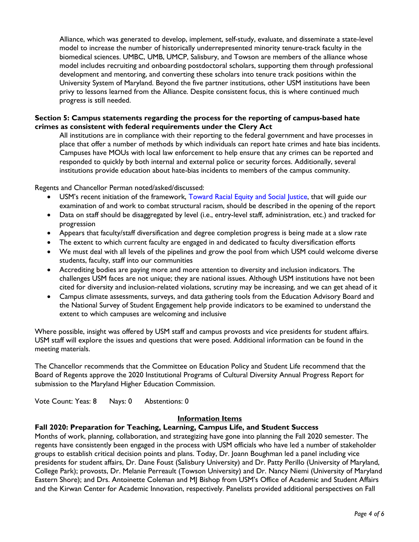Alliance, which was generated to develop, implement, self-study, evaluate, and disseminate a state-level model to increase the number of historically underrepresented minority tenure-track faculty in the biomedical sciences. UMBC, UMB, UMCP, Salisbury, and Towson are members of the alliance whose model includes recruiting and onboarding postdoctoral scholars, supporting them through professional development and mentoring, and converting these scholars into tenure track positions within the University System of Maryland. Beyond the five partner institutions, other USM institutions have been privy to lessons learned from the Alliance. Despite consistent focus, this is where continued much progress is still needed.

### **Section 5: Campus statements regarding the process for the reporting of campus-based hate crimes as consistent with federal requirements under the Clery Act**

All institutions are in compliance with their reporting to the federal government and have processes in place that offer a number of methods by which individuals can report hate crimes and hate bias incidents. Campuses have MOUs with local law enforcement to help ensure that any crimes can be reported and responded to quickly by both internal and external police or security forces. Additionally, several institutions provide education about hate-bias incidents to members of the campus community.

Regents and Chancellor Perman noted/asked/discussed:

- USM's recent initiation of the framework, Toward Racial Equity and Social Justice, that will guide our examination of and work to combat structural racism, should be described in the opening of the report
- Data on staff should be disaggregated by level (i.e., entry-level staff, administration, etc.) and tracked for progression
- Appears that faculty/staff diversification and degree completion progress is being made at a slow rate
- The extent to which current faculty are engaged in and dedicated to faculty diversification efforts
- We must deal with all levels of the pipelines and grow the pool from which USM could welcome diverse students, faculty, staff into our communities
- Accrediting bodies are paying more and more attention to diversity and inclusion indicators. The challenges USM faces are not unique; they are national issues. Although USM institutions have not been cited for diversity and inclusion-related violations, scrutiny may be increasing, and we can get ahead of it
- Campus climate assessments, surveys, and data gathering tools from the Education Advisory Board and the National Survey of Student Engagement help provide indicators to be examined to understand the extent to which campuses are welcoming and inclusive

Where possible, insight was offered by USM staff and campus provosts and vice presidents for student affairs. USM staff will explore the issues and questions that were posed. Additional information can be found in the meeting materials.

The Chancellor recommends that the Committee on Education Policy and Student Life recommend that the Board of Regents approve the 2020 Institutional Programs of Cultural Diversity Annual Progress Report for submission to the Maryland Higher Education Commission.

Vote Count: Yeas: 8 Nays: 0 Abstentions: 0

#### **Information Items**

### **Fall 2020: Preparation for Teaching, Learning, Campus Life, and Student Success**

Months of work, planning, collaboration, and strategizing have gone into planning the Fall 2020 semester. The regents have consistently been engaged in the process with USM officials who have led a number of stakeholder groups to establish critical decision points and plans. Today, Dr. Joann Boughman led a panel including vice presidents for student affairs, Dr. Dane Foust (Salisbury University) and Dr. Patty Perillo (University of Maryland, College Park); provosts, Dr. Melanie Perreault (Towson University) and Dr. Nancy Niemi (University of Maryland Eastern Shore); and Drs. Antoinette Coleman and MJ Bishop from USM's Office of Academic and Student Affairs and the Kirwan Center for Academic Innovation, respectively. Panelists provided additional perspectives on Fall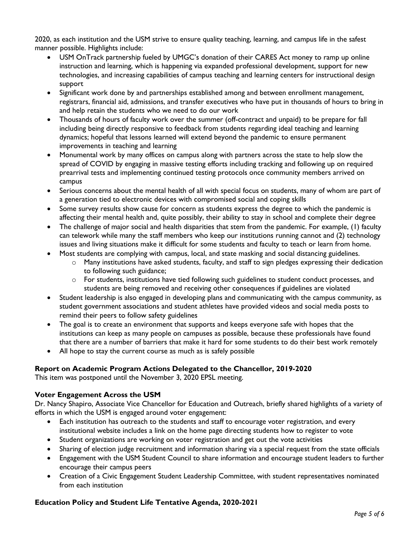2020, as each institution and the USM strive to ensure quality teaching, learning, and campus life in the safest manner possible. Highlights include:

- USM OnTrack partnership fueled by UMGC's donation of their CARES Act money to ramp up online instruction and learning, which is happening via expanded professional development, support for new technologies, and increasing capabilities of campus teaching and learning centers for instructional design support
- Significant work done by and partnerships established among and between enrollment management, registrars, financial aid, admissions, and transfer executives who have put in thousands of hours to bring in and help retain the students who we need to do our work
- Thousands of hours of faculty work over the summer (off-contract and unpaid) to be prepare for fall including being directly responsive to feedback from students regarding ideal teaching and learning dynamics; hopeful that lessons learned will extend beyond the pandemic to ensure permanent improvements in teaching and learning
- Monumental work by many offices on campus along with partners across the state to help slow the spread of COVID by engaging in massive testing efforts including tracking and following up on required prearrival tests and implementing continued testing protocols once community members arrived on campus
- Serious concerns about the mental health of all with special focus on students, many of whom are part of a generation tied to electronic devices with compromised social and coping skills
- Some survey results show cause for concern as students express the degree to which the pandemic is affecting their mental health and, quite possibly, their ability to stay in school and complete their degree
- The challenge of major social and health disparities that stem from the pandemic. For example, (1) faculty can telework while many the staff members who keep our institutions running cannot and (2) technology issues and living situations make it difficult for some students and faculty to teach or learn from home.
- Most students are complying with campus, local, and state masking and social distancing guidelines.
	- $\circ$  Many institutions have asked students, faculty, and staff to sign pledges expressing their dedication to following such guidance;
	- $\circ$  For students, institutions have tied following such guidelines to student conduct processes, and students are being removed and receiving other consequences if guidelines are violated
- Student leadership is also engaged in developing plans and communicating with the campus community, as student government associations and student athletes have provided videos and social media posts to remind their peers to follow safety guidelines
- The goal is to create an environment that supports and keeps everyone safe with hopes that the institutions can keep as many people on campuses as possible, because these professionals have found that there are a number of barriers that make it hard for some students to do their best work remotely
- All hope to stay the current course as much as is safely possible

# **Report on Academic Program Actions Delegated to the Chancellor, 2019-2020**

This item was postponed until the November 3, 2020 EPSL meeting.

# **Voter Engagement Across the USM**

Dr. Nancy Shapiro, Associate Vice Chancellor for Education and Outreach, briefly shared highlights of a variety of efforts in which the USM is engaged around voter engagement:

- Each institution has outreach to the students and staff to encourage voter registration, and every institutional website includes a link on the home page directing students how to register to vote
- Student organizations are working on voter registration and get out the vote activities
- Sharing of election judge recruitment and information sharing via a special request from the state officials
- Engagement with the USM Student Council to share information and encourage student leaders to further encourage their campus peers
- Creation of a Civic Engagement Student Leadership Committee, with student representatives nominated from each institution

# **Education Policy and Student Life Tentative Agenda, 2020-2021**